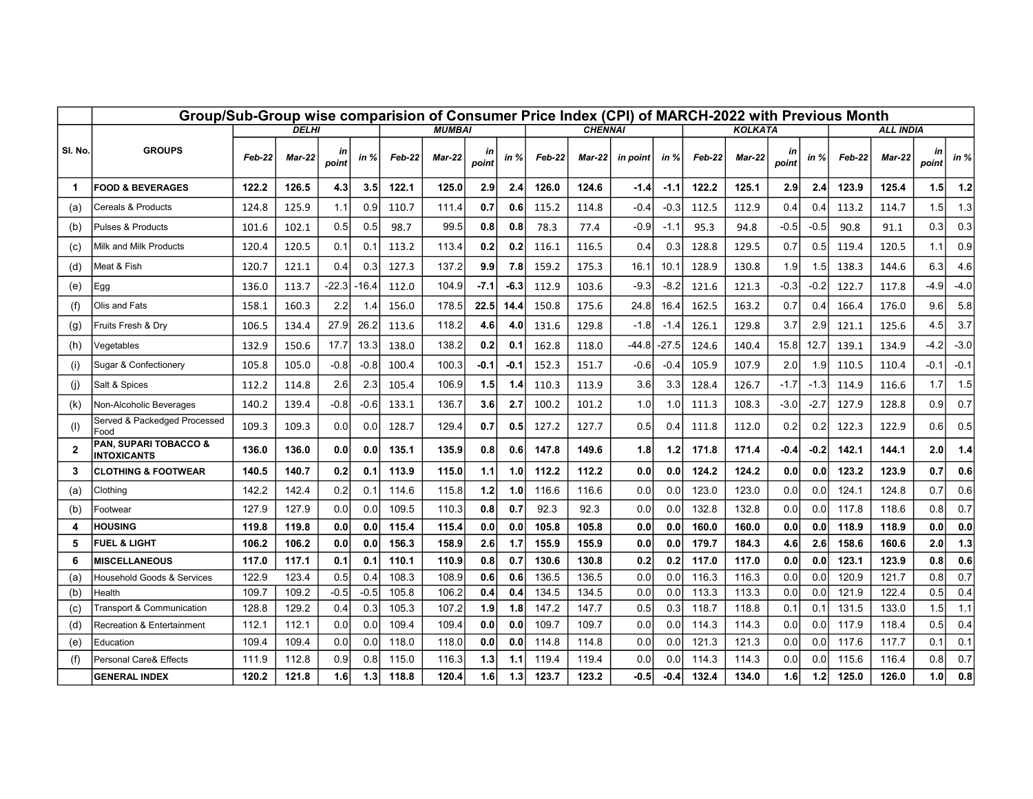|         | Group/Sub-Group wise comparision of Consumer Price Index (CPI) of MARCH-2022 with Previous Month |              |               |             |               |        |        |             |                |        |               |          |         |        |        |                 |                  |        |        |             |        |
|---------|--------------------------------------------------------------------------------------------------|--------------|---------------|-------------|---------------|--------|--------|-------------|----------------|--------|---------------|----------|---------|--------|--------|-----------------|------------------|--------|--------|-------------|--------|
|         |                                                                                                  | <b>DELHI</b> |               |             | <b>MUMBAI</b> |        |        |             | <b>CHENNAI</b> |        |               |          | KOLKATA |        |        |                 | <b>ALL INDIA</b> |        |        |             |        |
| SI. No. | <b>GROUPS</b>                                                                                    | Feb-22       | <b>Mar-22</b> | in<br>point | in $%$        | Feb-22 | Mar-22 | in<br>point | in $%$         | Feb-22 | <b>Mar-22</b> | in point | in $%$  | Feb-22 | Mar-22 | in<br>point     | in %             | Feb-22 | Mar-22 | in<br>point | in %   |
| -1      | <b>FOOD &amp; BEVERAGES</b>                                                                      | 122.2        | 126.5         | 4.3         | 3.5           | 122.1  | 125.0  | 2.9         | 2.4            | 126.0  | 124.6         | $-1.4$   | $-1.1$  | 122.2  | 125.1  | 2.9             | 2.4              | 123.9  | 125.4  | 1.5         | 1.2    |
| (a)     | Cereals & Products                                                                               | 124.8        | 125.9         | 1.1         | 0.9           | 110.7  | 111.4  | 0.7         | 0.6            | 115.2  | 114.8         | $-0.4$   | $-0.3$  | 112.5  | 112.9  | 0.4             | 0.4              | 113.2  | 114.7  | 1.5         | 1.3    |
| (b)     | <b>Pulses &amp; Products</b>                                                                     | 101.6        | 102.1         | 0.5         | 0.5           | 98.7   | 99.5   | 0.8         | 0.8            | 78.3   | 77.4          | $-0.9$   | $-1.1$  | 95.3   | 94.8   | $-0.5$          | $-0.5$           | 90.8   | 91.1   | 0.3         | 0.3    |
| (c)     | Milk and Milk Products                                                                           | 120.4        | 120.5         | 0.1         | 0.1           | 113.2  | 113.4  | 0.2         | 0.2            | 116.1  | 116.5         | 0.4      | 0.3     | 128.8  | 129.5  | 0.7             | 0.5              | 119.4  | 120.5  | 1.1         | 0.9    |
| (d)     | Meat & Fish                                                                                      | 120.7        | 121.1         | 0.4         | 0.3           | 127.3  | 137.2  | 9.9         | 7.8            | 159.2  | 175.3         | 16.1     | 10.1    | 128.9  | 130.8  | 1.9             | 1.5              | 138.3  | 144.6  | 6.3         | 4.6    |
| (e)     | Egg                                                                                              | 136.0        | 113.7         | $-22.3$     | $-16.4$       | 112.0  | 104.9  | $-7.1$      | $-6.3$         | 112.9  | 103.6         | $-9.3$   | $-8.2$  | 121.6  | 121.3  | $-0.3$          | $-0.2$           | 122.7  | 117.8  | -4.9        | $-4.0$ |
| (f)     | Olis and Fats                                                                                    | 158.1        | 160.3         | 2.2         | 1.4           | 156.0  | 178.5  | 22.5        | 14.4           | 150.8  | 175.6         | 24.8     | 16.4    | 162.5  | 163.2  | 0.7             | 0.4              | 166.4  | 176.0  | 9.6         | 5.8    |
| (g)     | Fruits Fresh & Dry                                                                               | 106.5        | 134.4         | 27.9        | 26.2          | 113.6  | 118.2  | 4.6         | 4.0            | 131.6  | 129.8         | $-1.8$   | $-1.4$  | 126.1  | 129.8  | 3.7             | 2.9              | 121.1  | 125.6  | 4.5         | 3.7    |
| (h)     | Vegetables                                                                                       | 132.9        | 150.6         | 17.7        | 13.3          | 138.0  | 138.2  | 0.2         | 0.1            | 162.8  | 118.0         | -44.8    | $-27.5$ | 124.6  | 140.4  | 15.8            | 12.7             | 139.1  | 134.9  | $-4.2$      | $-3.0$ |
| (i)     | Sugar & Confectionery                                                                            | 105.8        | 105.0         | $-0.8$      | $-0.8$        | 100.4  | 100.3  | -0.1        | -0.1           | 152.3  | 151.7         | $-0.6$   | $-0.4$  | 105.9  | 107.9  | 2.0             | 1.9              | 110.5  | 110.4  | $-0.1$      | $-0.1$ |
| (i)     | Salt & Spices                                                                                    | 112.2        | 114.8         | 2.6         | 2.3           | 105.4  | 106.9  | 1.5         | 1.4            | 110.3  | 113.9         | 3.6      | 3.3     | 128.4  | 126.7  | -1.7            | $-1.3$           | 114.9  | 116.6  | 1.7         | 1.5    |
| (k)     | Non-Alcoholic Beverages                                                                          | 140.2        | 139.4         | -0.8        | $-0.6$        | 133.1  | 136.7  | 3.6         | 2.7            | 100.2  | 101.2         | 1.0      | 1.0     | 111.3  | 108.3  | $-3.0$          | $-2.7$           | 127.9  | 128.8  | 0.9         | 0.7    |
| (1)     | Served & Packedged Processed<br>Food                                                             | 109.3        | 109.3         | 0.0         | 0.0           | 128.7  | 129.4  | 0.7         | 0.5            | 127.2  | 127.7         | 0.5      | 0.4     | 111.8  | 112.0  | 0.2             | 0.2              | 122.3  | 122.9  | 0.6         | 0.5    |
| 2       | <b>PAN, SUPARI TOBACCO &amp;</b><br>INTOXICANTS                                                  | 136.0        | 136.0         | 0.0         | 0.0           | 135.1  | 135.9  | 0.8         | 0.6            | 147.8  | 149.6         | 1.8      | 1.2     | 171.8  | 171.4  | -0.4            | -0.21            | 142.1  | 144.1  | 2.0         | 1.4    |
| 3       | <b>CLOTHING &amp; FOOTWEAR</b>                                                                   | 140.5        | 140.7         | 0.2         | 0.1           | 113.9  | 115.0  | 1.1         | 1.0            | 112.2  | 112.2         | 0.0      | 0.0     | 124.2  | 124.2  | 0.0             | 0.0              | 123.2  | 123.9  | 0.7         | 0.6    |
| (a)     | Clothing                                                                                         | 142.2        | 142.4         | 0.2         | 0.1           | 114.6  | 115.8  | $1.2$       | 1.0            | 116.6  | 116.6         | 0.0      | 0.0     | 123.0  | 123.0  | 0.0             | 0.0              | 124.1  | 124.8  | 0.7         | 0.6    |
| (b)     | Footwear                                                                                         | 127.9        | 127.9         | 0.0         | 0.0           | 109.5  | 110.3  | 0.8         | 0.7            | 92.3   | 92.3          | 0.0      | 0.0     | 132.8  | 132.8  | 0.0             | 0.0              | 117.8  | 118.6  | 0.8         | 0.7    |
| 4       | <b>HOUSING</b>                                                                                   | 119.8        | 119.8         | 0.0         | 0.0           | 115.4  | 115.4  | 0.0         | 0.0            | 105.8  | 105.8         | 0.0      | 0.0     | 160.0  | 160.0  | 0.0             | 0.0              | 118.9  | 118.9  | 0.0         | 0.0    |
| 5       | <b>FUEL &amp; LIGHT</b>                                                                          | 106.2        | 106.2         | 0.0         | 0.0           | 156.3  | 158.9  | 2.6         | 1.7            | 155.9  | 155.9         | 0.0      | 0.0     | 179.7  | 184.3  | 4.6             | 2.6              | 158.6  | 160.6  | 2.0         | 1.3    |
| 6       | <b>MISCELLANEOUS</b>                                                                             | 117.0        | 117.1         | 0.1         | 0.1           | 110.1  | 110.9  | 0.8         | 0.7            | 130.6  | 130.8         | 0.2      | 0.2     | 117.0  | 117.0  | 0.0             | 0.0              | 123.1  | 123.9  | 0.8         | 0.6    |
| (a)     | Household Goods & Services                                                                       | 122.9        | 123.4         | 0.5         | 0.4           | 108.3  | 108.9  | 0.6         | 0.6            | 136.5  | 136.5         | 0.0      | 0.0     | 116.3  | 116.3  | 0.0             | 0.0              | 120.9  | 121.7  | 0.8         | 0.7    |
| (b)     | Health                                                                                           | 109.7        | 109.2         | $-0.5$      | $-0.5$        | 105.8  | 106.2  | 0.4         | 0.4            | 134.5  | 134.5         | 0.0      | 0.0     | 113.3  | 113.3  | 0.0             | 0.0              | 121.9  | 122.4  | 0.5         | 0.4    |
| (c)     | <b>Transport &amp; Communication</b>                                                             | 128.8        | 129.2         | 0.4         | 0.3           | 105.3  | 107.2  | 1.9         | 1.8            | 147.2  | 147.7         | 0.5      | 0.3     | 118.7  | 118.8  | 0.1             | 0.1              | 131.5  | 133.0  | 1.5         | 1.1    |
| (d)     | Recreation & Entertainment                                                                       | 112.1        | 112.1         | 0.0         | 0.0           | 109.4  | 109.4  | 0.0         | 0.0            | 109.7  | 109.7         | 0.0      | 0.0     | 114.3  | 114.3  | 0.0             | 0.0              | 117.9  | 118.4  | 0.5         | 0.4    |
| (e)     | Education                                                                                        | 109.4        | 109.4         | 0.0         | 0.0           | 118.0  | 118.0  | 0.0         | 0.0            | 114.8  | 114.8         | 0.0      | 0.0     | 121.3  | 121.3  | 0.0             | 0.0              | 117.6  | 117.7  | 0.1         | 0.1    |
| (f)     | Personal Care& Effects                                                                           | 111.9        | 112.8         | 0.9         | 0.8           | 115.0  | 116.3  | 1.3         | 1.1            | 119.4  | 119.4         | 0.0      | 0.0     | 114.3  | 114.3  | 0. <sub>C</sub> | 0.0              | 115.6  | 116.4  | 0.8         | 0.7    |
|         | <b>GENERAL INDEX</b>                                                                             | 120.2        | 121.8         | 1.6         | 1.3           | 118.8  | 120.4  | 1.6         | 1.3            | 123.7  | 123.2         | -0.5     | -0.4    | 132.4  | 134.0  | 1.6             | 1.2              | 125.0  | 126.0  | 1.0         | 0.8    |